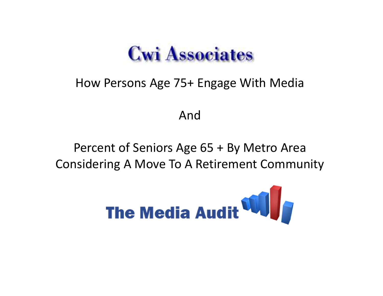

# How Persons Age 75+ Engage With Media

And

Percent of Seniors Age 65 + By Metro AreaConsidering A Move To A Retirement Community

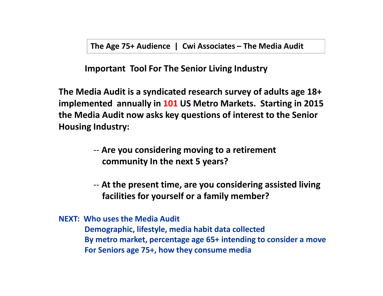**Important Tool For The Senior Living Industry**

**The Media Audit is a syndicated research survey of adults age 18+ implemented annually in 101 US Metro Markets. Starting in 2015 the Media Audit now asks key questions of interest to the Senior Housing Industry:** 

> -- **Are you considering moving to a retirement community In the next 5 years?**

-- **At the present time, are you considering assisted living facilities for yourself or a family member?**

**NEXT: Who uses the Media Audit**

**Demographic, lifestyle, media habit data collected By metro market, percentage age 65+ intending to consider a moveFor Seniors age 75+, how they consume media**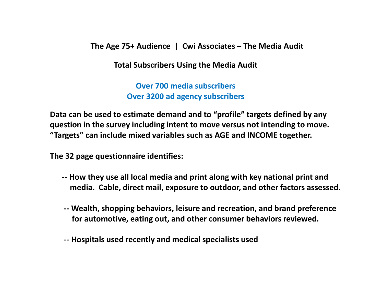**Total Subscribers Using the Media Audit** 

**Over 700 media subscribersOver 3200 ad agency subscribers**

**Data can be used to estimate demand and to "profile" targets defined by any question in the survey including intent to move versus not intending to move. "Targets" can include mixed variables such as AGE and INCOME together.** 

**The 32 page questionnaire identifies:**

- **-- How they use all local media and print along with key national print and media. Cable, direct mail, exposure to outdoor, and other factors assessed.**
- **-- Wealth, shopping behaviors, leisure and recreation, and brand preference for automotive, eating out, and other consumer behaviors reviewed.**
- **-- Hospitals used recently and medical specialists used**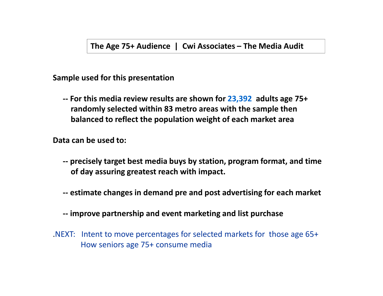**Sample used for this presentation**

**-- For this media review results are shown for 23,392 adults age 75+ randomly selected within 83 metro areas with the sample then balanced to reflect the population weight of each market area**

**Data can be used to:**

- **-- precisely target best media buys by station, program format, and time of day assuring greatest reach with impact.**
- **-- estimate changes in demand pre and post advertising for each market**

**-- improve partnership and event marketing and list purchase** 

.NEXT: Intent to move percentages for selected markets for those age 65+How seniors age 75+ consume media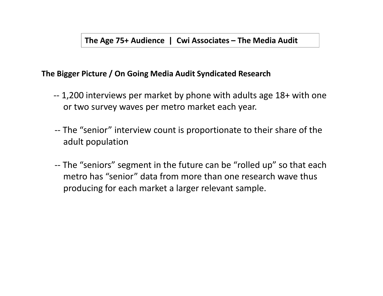#### **The Bigger Picture / On Going Media Audit Syndicated Research**

- -- 1,200 interviews per market by phone with adults age 18+ with one or two survey waves per metro market each year.
- -- The "senior" interview count is proportionate to their share of the adult population
- -- The "seniors" segment in the future can be "rolled up" so that each metro has "senior" data from more than one research wave thus producing for each market a larger relevant sample.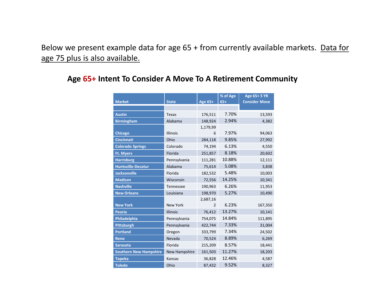Below we present example data for age 65 + from currently available markets. Data for age 75 plus is also available.

|                               |                  |                | % of Age | Age 65+ 5 YR         |
|-------------------------------|------------------|----------------|----------|----------------------|
| <b>Market</b>                 | <b>State</b>     | <b>Age 65+</b> | $65+$    | <b>Consider Move</b> |
|                               |                  |                |          |                      |
| <b>Austin</b>                 | Texas            | 176,511        | 7.70%    | 13,593               |
| <b>Birmingham</b>             | Alabama          | 148,924        | 2.94%    | 4,382                |
|                               |                  | 1,179,99       |          |                      |
| <b>Chicago</b>                | <b>Illinois</b>  | 6              | 7.97%    | 94,063               |
| <b>Cincinnati</b>             | Ohio             | 284,118        | 9.85%    | 27,992               |
| <b>Colorado Springs</b>       | Colorado         | 74,194         | 6.13%    | 4,550                |
| <b>Ft. Myers</b>              | Florida          | 251,857        | 8.18%    | 20,602               |
| <b>Harrisburg</b>             | Pennsylvania     | 111,281        | 10.88%   | 12,111               |
| <b>Huntsville-Decatur</b>     | Alabama          | 75,614         | 5.08%    | 3,838                |
| <b>Jacksonville</b>           | Florida          | 182,532        | 5.48%    | 10,003               |
| <b>Madison</b>                | Wisconsin        | 72,556         | 14.25%   | 10,341               |
| <b>Nashville</b>              | <b>Tennessee</b> | 190,963        | 6.26%    | 11,953               |
| <b>New Orleans</b>            | Louisiana        | 198,970        | 5.27%    | 10,490               |
|                               |                  | 2,687,16       |          |                      |
| <b>New York</b>               | New York         | 2              | 6.23%    | 167,350              |
| <b>Peoria</b>                 | <b>Illinois</b>  | 76,412         | 13.27%   | 10,141               |
| Philadelphia                  | Pennsylvania     | 754,075        | 14.84%   | 111,895              |
| Pittsburgh                    | Pennsylvania     | 422,744        | 7.33%    | 31,004               |
| <b>Portland</b>               | Oregon           | 333,799        | 7.34%    | 24,502               |
| <b>Reno</b>                   | Nevada           | 70,524         | 8.89%    | 6,269                |
| <b>Sarasota</b>               | Florida          | 215,209        | 8.57%    | 18,441               |
| <b>Southern New Hampshire</b> | New Hampshire    | 161,503        | 11.27%   | 18,203               |
| <b>Topeka</b>                 | Kansas           | 36,828         | 12.46%   | 4,587                |
| <b>Toledo</b>                 | Ohio             | 87,432         | 9.52%    | 8,327                |

## **Age 65+ Intent To Consider A Move To A Retirement Community**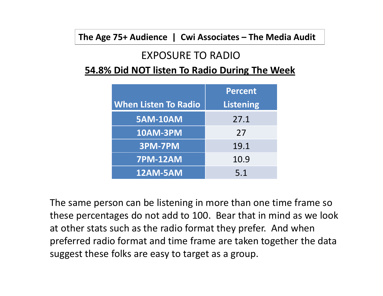## EXPOSURE TO RADIO

#### **54.8% Did NOT listen To Radio During The Week**

| <b>Percent</b><br><b>Listening</b> |
|------------------------------------|
| 27.1                               |
| 27                                 |
| 19.1                               |
| 10.9                               |
| 5.1                                |
|                                    |

The same person can be listening in more than one time frame so these percentages do not add to 100. Bear that in mind as we look at other stats such as the radio format they prefer. And when preferred radio format and time frame are taken together the data suggest these folks are easy to target as a group.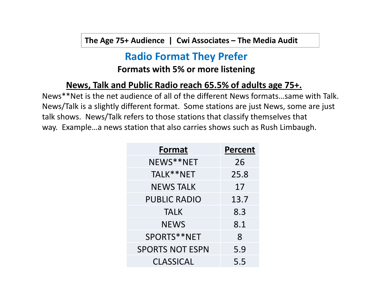## **Radio Format They Prefer**

#### **Formats with 5% or more listening**

### **News, Talk and Public Radio reach 65.5% of adults age 75+.**

News\*\*Net is the net audience of all of the different News formats…same with Talk. News/Talk is a slightly different format. Some stations are just News, some are just talk shows. News/Talk refers to those stations that classify themselves that way. Example…a news station that also carries shows such as Rush Limbaugh.

| Format                 | <b>Percent</b> |
|------------------------|----------------|
| NEWS**NET              | 26             |
| TALK**NET              | 25.8           |
| <b>NEWS TALK</b>       | 17             |
| <b>PUBLIC RADIO</b>    | 13.7           |
| <b>TALK</b>            | 8.3            |
| <b>NEWS</b>            | 8.1            |
| SPORTS**NET            | 8              |
| <b>SPORTS NOT ESPN</b> | 5.9            |
| <b>CLASSICAL</b>       | 5.5            |
|                        |                |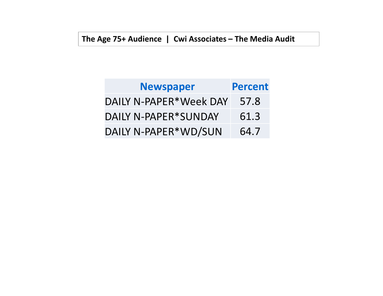| <b>Newspaper</b>       | <b>Percent</b> |
|------------------------|----------------|
| DAILY N-PAPER*Week DAY | 57.8           |
| DAILY N-PAPER*SUNDAY   | 61.3           |
| DAILY N-PAPER*WD/SUN   | 64.7           |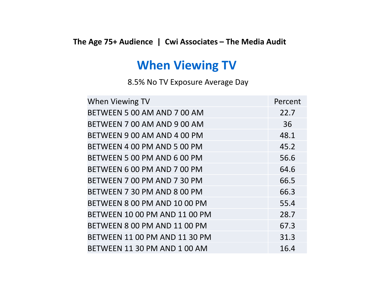# **When Viewing TV**

8.5% No TV Exposure Average Day

| When Viewing TV                      | Percent |
|--------------------------------------|---------|
| BETWEEN 5 00 AM AND 7 00 AM          | 22.7    |
| BETWEEN 7 00 AM AND 9 00 AM          | 36      |
| BETWEEN 9 00 AM AND 4 00 PM          | 48.1    |
| BETWEEN 4 00 PM AND 5 00 PM          | 45.2    |
| BETWEEN 5 00 PM AND 6 00 PM          | 56.6    |
| BETWEEN 6 00 PM AND 7 00 PM          | 64.6    |
| BETWEEN 7 00 PM AND 7 30 PM          | 66.5    |
| BETWEEN 7 30 PM AND 8 00 PM          | 66.3    |
| BETWEEN 8 00 PM AND 10 00 PM         | 55.4    |
| <b>BETWEEN 10 00 PM AND 11 00 PM</b> | 28.7    |
| BETWEEN 8 00 PM AND 11 00 PM         | 67.3    |
| <b>BETWEEN 11 00 PM AND 11 30 PM</b> | 31.3    |
| BETWEEN 11 30 PM AND 1 00 AM         | 16.4    |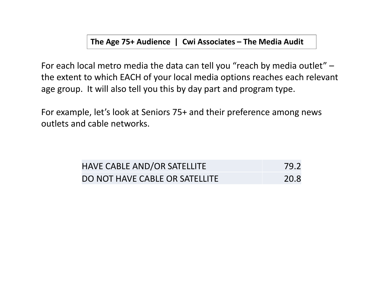For each local metro media the data can tell you "reach by media outlet" – the extent to which EACH of your local media options reaches each relevant age group. It will also tell you this by day part and program type.

For example, let's look at Seniors 75+ and their preference among news outlets and cable networks.

| <b>HAVE CABLE AND/OR SATELLITE</b> | 79.2 |
|------------------------------------|------|
| DO NOT HAVE CABLE OR SATELLITE     | 20.8 |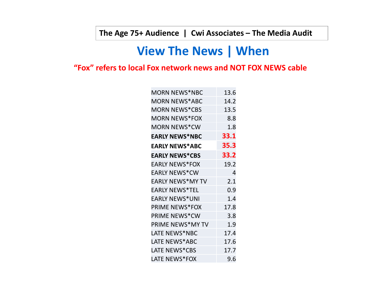# **View The News | When**

#### **"Fox" refers to local Fox network news and NOT FOX NEWS cable**

| MORN NEWS*NBC           | 13.6 |
|-------------------------|------|
| MORN NEWS*ABC           | 14.2 |
| MORN NEWS*CBS           | 13.5 |
| <b>MORN NEWS*FOX</b>    | 8.8  |
| MORN NEWS*CW            | 1.8  |
| <b>EARLY NEWS*NBC</b>   | 33.1 |
| <b>EARLY NEWS*ABC</b>   | 35.3 |
| <b>EARLY NEWS*CBS</b>   | 33.2 |
| <b>EARLY NEWS*FOX</b>   | 19.2 |
| <b>EARLY NEWS*CW</b>    | 4    |
| <b>EARLY NEWS*MY TV</b> | 2.1  |
| <b>EARLY NEWS*TEL</b>   | 0.9  |
| <b>EARLY NEWS*UNI</b>   | 1.4  |
| <b>PRIME NEWS*FOX</b>   | 17.8 |
| PRIME NEWS*CW           | 3.8  |
| PRIME NEWS*MY TV        | 1.9  |
| LATE NEWS*NBC           | 17.4 |
| LATE NEWS*ABC           | 17.6 |
| LATE NEWS*CBS           | 17.7 |
| LATE NEWS*FOX           | 9.6  |
|                         |      |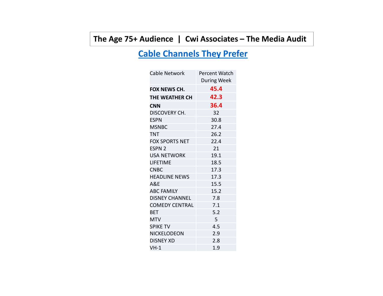### **Cable Channels They Prefer**

| Cable Network         | Percent Watch      |
|-----------------------|--------------------|
|                       | <b>During Week</b> |
| <b>FOX NEWS CH.</b>   | 45.4               |
| THE WEATHER CH        | 42.3               |
| <b>CNN</b>            | 36.4               |
| DISCOVERY CH.         | 32                 |
| <b>ESPN</b>           | 30.8               |
| <b>MSNBC</b>          | 27.4               |
| TNT                   | 26.2               |
| <b>FOX SPORTS NET</b> | 22.4               |
| <b>ESPN 2</b>         | 21                 |
| <b>USA NETWORK</b>    | 19.1               |
| <b>LIFETIME</b>       | 18.5               |
| <b>CNBC</b>           | 17.3               |
| <b>HEADLINE NEWS</b>  | 17.3               |
| <b>A&amp;E</b>        | 15.5               |
| <b>ABC FAMILY</b>     | 15.2               |
| <b>DISNEY CHANNEL</b> | 7.8                |
| <b>COMEDY CENTRAL</b> | 7.1                |
| <b>BET</b>            | 5.2                |
| <b>MTV</b>            | 5                  |
| <b>SPIKE TV</b>       | 4.5                |
| NICKELODEON           | 2.9                |
| <b>DISNEY XD</b>      | 2.8                |
| $VH-1$                | 1.9                |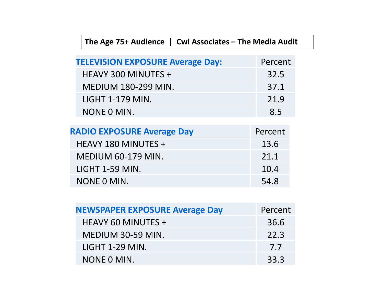| The Age 75+ Audience   Cwi Associates – The Media Audit |         |  |
|---------------------------------------------------------|---------|--|
|                                                         |         |  |
| <b>TELEVISION EXPOSURE Average Day:</b>                 | Percent |  |
| <b>HEAVY 300 MINUTES +</b>                              | 32.5    |  |
| <b>MEDIUM 180-299 MIN.</b>                              | 37.1    |  |
| <b>LIGHT 1-179 MIN.</b>                                 | 21.9    |  |
| NONE 0 MIN.                                             | 8.5     |  |
|                                                         |         |  |
| <b>RADIO EXPOSURE Average Day</b>                       | Percent |  |
| <b>HEAVY 180 MINUTES +</b>                              | 13.6    |  |
| MEDIUM 60-179 MIN.                                      | 21.1    |  |
| <b>LIGHT 1-59 MIN.</b>                                  | 10.4    |  |
| NONE 0 MIN.                                             | 54.8    |  |
|                                                         |         |  |

| <b>NEWSPAPER EXPOSURE Average Day</b> | Percent |
|---------------------------------------|---------|
| <b>HEAVY 60 MINUTES +</b>             | 36.6    |
| MEDIUM 30-59 MIN.                     | 22.3    |
| LIGHT 1-29 MIN.                       | 7.7     |
| NONE 0 MIN.                           | 33.3    |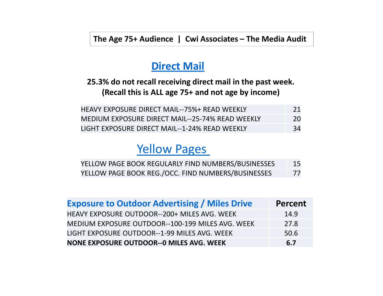### **Direct Mail**

#### **25.3% do not recall receiving direct mail in the past week.(Recall this is ALL age 75+ and not age by income)**

| <b>HEAVY EXPOSURE DIRECT MAIL--75%+ READ WEEKLY</b> | 21 |
|-----------------------------------------------------|----|
| MEDIUM EXPOSURE DIRECT MAIL--25-74% READ WEEKLY     | 20 |
| LIGHT EXPOSURE DIRECT MAIL--1-24% READ WEEKLY       | 34 |

## Yellow Pages

| YELLOW PAGE BOOK REGULARLY FIND NUMBERS/BUSINESSES | 15 |
|----------------------------------------------------|----|
| YELLOW PAGE BOOK REG./OCC. FIND NUMBERS/BUSINESSES | 77 |

| <b>Exposure to Outdoor Advertising / Miles Drive</b> | <b>Percent</b> |
|------------------------------------------------------|----------------|
| HEAVY EXPOSURE OUTDOOR--200+ MILES AVG. WEEK         | 14.9           |
| MEDIUM EXPOSURE OUTDOOR--100-199 MILES AVG. WEEK     | 27.8           |
| LIGHT EXPOSURE OUTDOOR--1-99 MILES AVG. WEEK         | 50.6           |
| <b>NONE EXPOSURE OUTDOOR--0 MILES AVG. WEEK</b>      | 6.7            |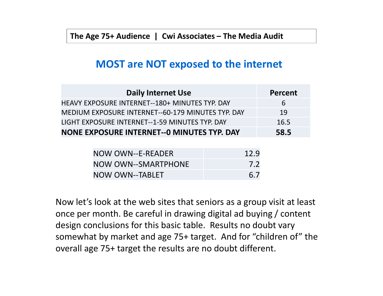## **MOST are NOT exposed to the internet**

| <b>Daily Internet Use</b>                             | Percent      |
|-------------------------------------------------------|--------------|
| <b>HEAVY EXPOSURE INTERNET--180+ MINUTES TYP. DAY</b> | $\mathsf{h}$ |
| MEDIUM EXPOSURE INTERNET--60-179 MINUTES TYP. DAY     | 19           |
| LIGHT EXPOSURE INTERNET--1-59 MINUTES TYP. DAY        | 16.5         |
| <b>NONE EXPOSURE INTERNET--0 MINUTES TYP. DAY</b>     | 58.5         |

| NOW OWN--E-READER   | 12.9 |
|---------------------|------|
| NOW OWN--SMARTPHONE | 7.2  |
| NOW OWN--TABLET     | 6.7  |

Now let's look at the web sites that seniors as a group visit at least once per month. Be careful in drawing digital ad buying / content design conclusions for this basic table. Results no doubt vary somewhat by market and age 75+ target. And for "children of" the overall age 75+ target the results are no doubt different.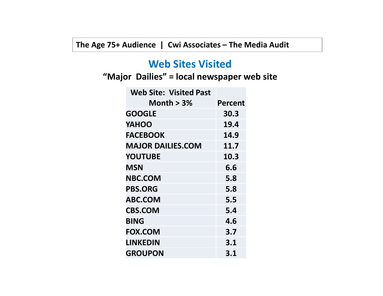### **Web Sites Visited**

#### **"Major Dailies" = local newspaper web site**

| <b>Web Site: Visited Past</b> |         |
|-------------------------------|---------|
| Month $>$ 3%                  | Percent |
| <b>GOOGLE</b>                 | 30.3    |
| YAHOO                         | 19.4    |
| <b>FACEBOOK</b>               | 14.9    |
| <b>MAJOR DAILIES.COM</b>      | 11.7    |
| <b>YOUTUBE</b>                | 10.3    |
| <b>MSN</b>                    | 6.6     |
| <b>NBC.COM</b>                | 5.8     |
| <b>PBS.ORG</b>                | 5.8     |
| ABC.COM                       | 5.5     |
| <b>CBS.COM</b>                | 5.4     |
| <b>BING</b>                   | 4.6     |
| <b>FOX.COM</b>                | 3.7     |
| <b>LINKEDIN</b>               | 3.1     |
| <b>GROUPON</b>                | 3.1     |
|                               |         |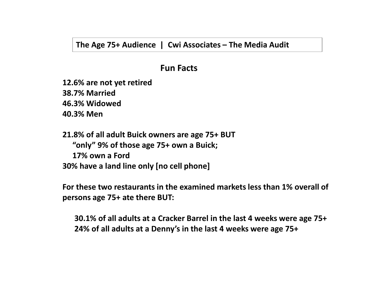#### **Fun Facts**

**12.6% are not yet retired38.7% Married 46.3% Widowed40.3% Men**

**21.8% of all adult Buick owners are age 75+ BUT"only" 9% of those age 75+ own a Buick; 17% own a Ford30% have a land line only [no cell phone]**

**For these two restaurants in the examined markets less than 1% overall of persons age 75+ ate there BUT:**

**30.1% of all adults at a Cracker Barrel in the last 4 weeks were age 75+24% of all adults at a Denny's in the last 4 weeks were age 75+**